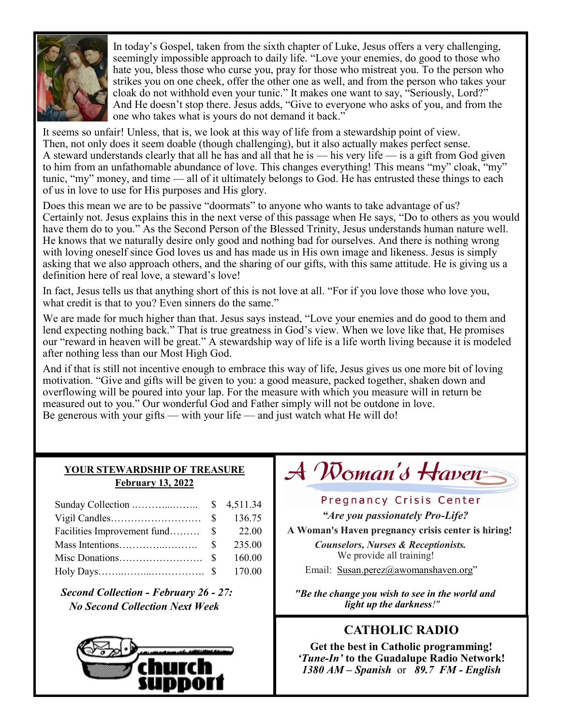

In today's Gospel, taken from the sixth chapter of Luke, Jesus offers a very challenging, seemingly impossible approach to daily life. "Love your enemies, do good to those who hate you, bless those who curse you, pray for those who mistreat you. To the person who strikes you on one cheek, offer the other one as well, and from the person who takes your cloak do not withhold even your tunic." It makes one want to say, "Seriously, Lord?" And He doesn't stop there. Jesus adds, "Give to everyone who asks of you, and from the one who takes what is yours do not demand it back."

It seems so unfair! Unless, that is, we look at this way of life from a stewardship point of view. Then, not only does it seem doable (though challenging), but it also actually makes perfect sense. A steward understands clearly that all he has and all that he is — his very life — is a gift from God given to him from an unfathomable abundance of love. This changes everything! This means "my" cloak, "my" tunic, "my" money, and time — all of it ultimately belongs to God. He has entrusted these things to each of us in love to use for His purposes and His glory.

Does this mean we are to be passive "doormats" to anyone who wants to take advantage of us? Certainly not. Jesus explains this in the next verse of this passage when He says, "Do to others as you would have them do to you." As the Second Person of the Blessed Trinity, Jesus understands human nature well. He knows that we naturally desire only good and nothing bad for ourselves. And there is nothing wrong with loving oneself since God loves us and has made us in His own image and likeness. Jesus is simply asking that we also approach others, and the sharing of our gifts, with this same attitude. He is giving us a definition here of real love, a steward's love!

In fact, Jesus tells us that anything short of this is not love at all. "For if you love those who love you, what credit is that to you? Even sinners do the same."

We are made for much higher than that. Jesus says instead, "Love your enemies and do good to them and lend expecting nothing back." That is true greatness in God's view. When we love like that, He promises our "reward in heaven will be great." A stewardship way of life is a life worth living because it is modeled after nothing less than our Most High God.

And if that is still not incentive enough to embrace this way of life, Jesus gives us one more bit of loving motivation. "Give and gifts will be given to you: a good measure, packed together, shaken down and overflowing will be poured into your lap. For the measure with which you measure will in return be measured out to you." Our wonderful God and Father simply will not be outdone in love. Be generous with your gifts — with your life — and just watch what He will do!

### **YOUR STEWARDSHIP OF TREASURE February 13, 2022**

|                                | 136.75 |
|--------------------------------|--------|
| Facilities Improvement fund \$ | 22.00  |
|                                | 235.00 |
|                                | 160.00 |
|                                |        |

*Second Collection - February 26 - 27: No Second Collection Next Week*



# $\mathcal A$  Woman's Haven

### Pregnancy Crisis Center

*"Are you passionately Pro-Life?* 

**A Woman's Haven pregnancy crisis center is hiring!** 

*Counselors, Nurses & Receptionists.*  We provide all training!

Email: [Susan.perez@awomanshaven.org](mailto:Susan.perez@awomanshaven.org)"

*"Be the change you wish to see in the world and light up the darkness!"*

# **CATHOLIC RADIO**

**Get the best in Catholic programming!**  *'Tune-In'* **to the Guadalupe Radio Network!** *1380 AM – Spanish* or *89.7 FM - English*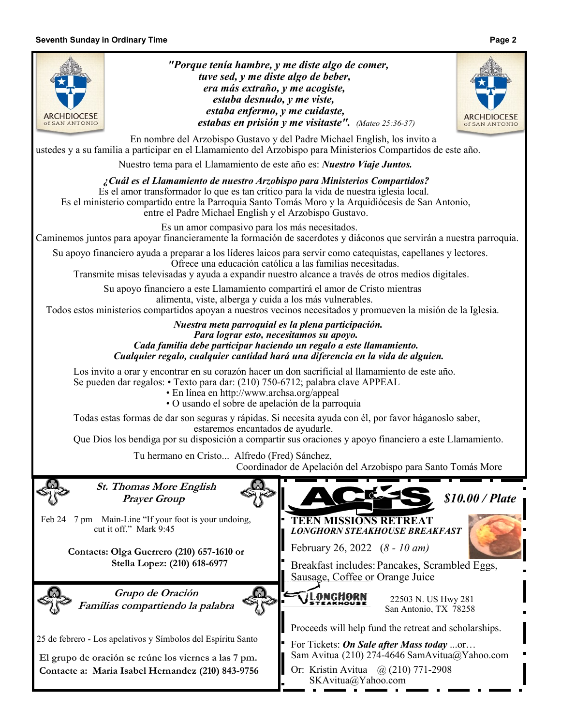#### **Seventh Sunday in Ordinary Time Page 2**

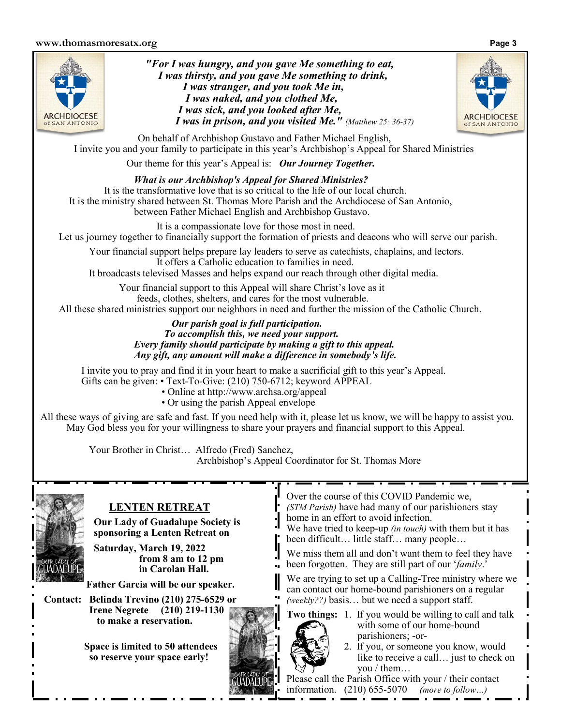#### **www.thomasmoresatx.org Page 3**



*"For I was hungry, and you gave Me something to eat, I was thirsty, and you gave Me something to drink, I was stranger, and you took Me in, I was naked, and you clothed Me, I was sick, and you looked after Me, I was in prison, and you visited Me." (Matthew 25: 36-37)*



On behalf of Archbishop Gustavo and Father Michael English, I invite you and your family to participate in this year's Archbishop's Appeal for Shared Ministries

Our theme for this year's Appeal is: *Our Journey Together.* 

*What is our Archbishop's Appeal for Shared Ministries?*  It is the transformative love that is so critical to the life of our local church. It is the ministry shared between St. Thomas More Parish and the Archdiocese of San Antonio, between Father Michael English and Archbishop Gustavo.

It is a compassionate love for those most in need. Let us journey together to financially support the formation of priests and deacons who will serve our parish.

Your financial support helps prepare lay leaders to serve as catechists, chaplains, and lectors. It offers a Catholic education to families in need.

It broadcasts televised Masses and helps expand our reach through other digital media.

Your financial support to this Appeal will share Christ's love as it feeds, clothes, shelters, and cares for the most vulnerable.

All these shared ministries support our neighbors in need and further the mission of the Catholic Church.

#### *Our parish goal is full participation. To accomplish this, we need your support. Every family should participate by making a gift to this appeal. Any gift, any amount will make a difference in somebody's life.*

I invite you to pray and find it in your heart to make a sacrificial gift to this year's Appeal. Gifts can be given: • Text-To-Give: (210) 750-6712; keyword APPEAL

- Online at http://www.archsa.org/appeal
	- Or using the parish Appeal envelope

All these ways of giving are safe and fast. If you need help with it, please let us know, we will be happy to assist you. May God bless you for your willingness to share your prayers and financial support to this Appeal.

> Your Brother in Christ… Alfredo (Fred) Sanchez, Archbishop's Appeal Coordinator for St. Thomas More



## **LENTEN RETREAT**

**Our Lady of Guadalupe Society is sponsoring a Lenten Retreat on** 

**Saturday, March 19, 2022 from 8 am to 12 pm in Carolan Hall.** 

**Father Garcia will be our speaker.** 

**Contact: Belinda Trevino (210) 275-6529 or Irene Negrete (210) 219-1130 to make a reservation.**

> **Space is limited to 50 attendees so reserve your space early!**

Over the course of this COVID Pandemic we, *(STM Parish)* have had many of our parishioners stay

home in an effort to avoid infection.

We have tried to keep-up *(in touch)* with them but it has been difficult… little staff… many people…

We miss them all and don't want them to feel they have been forgotten. They are still part of our '*family*.'

We are trying to set up a Calling-Tree ministry where we can contact our home-bound parishioners on a regular *(weekly??)* basis… but we need a support staff.

**Two things:** 1. If you would be willing to call and talk with some of our home-bound parishioners; -or-



Please call the Parish Office with your / their contact information. (210) 655-5070 *(more to follow…)*